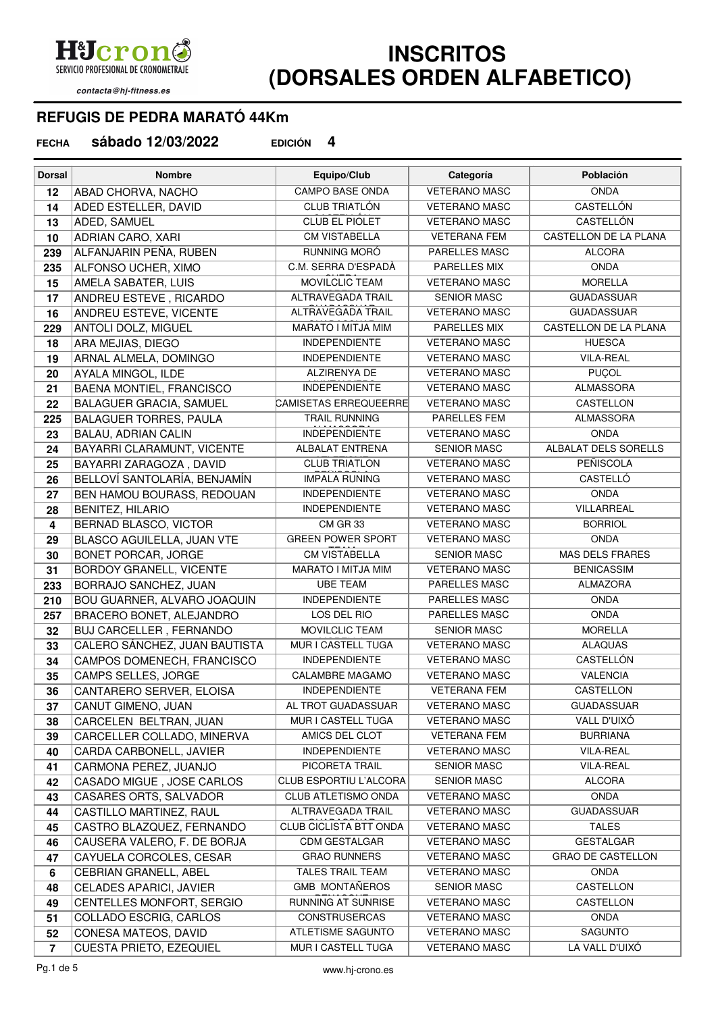Hicron SERVICIO PROFESIONAL DE CRONOMETRAJE

## contacta@hj-fitness.es

## **INSCRITOS (DORSALES ORDEN ALFABETICO)**

## **REFUGIS DE PEDRA MARATÓ 44Km**

**sábado 12/03/2022 EDICIÓN 4 FECHA**

| <b>Dorsal</b>  | <b>Nombre</b>                                     | Equipo/Club                                   | Categoría                                  | <b>Población</b>             |
|----------------|---------------------------------------------------|-----------------------------------------------|--------------------------------------------|------------------------------|
| 12             | <b>ABAD CHORVA, NACHO</b>                         | <b>CAMPO BASE ONDA</b>                        | <b>VETERANO MASC</b>                       | <b>ONDA</b>                  |
| 14             | ADED ESTELLER, DAVID                              | <b>CLUB TRIATLÓN</b>                          | <b>VETERANO MASC</b>                       | <b>CASTELLÓN</b>             |
| 13             | ADED, SAMUEL                                      | <b>CLUB EL PIOLET</b>                         | <b>VETERANO MASC</b>                       | <b>CASTELLÓN</b>             |
| 10             | ADRIAN CARO, XARI                                 | <b>CM VISTABELLA</b>                          | <b>VETERANA FEM</b>                        | CASTELLON DE LA PLANA        |
| 239            | ALFANJARIN PEÑA, RUBEN                            | RUNNING MORÓ                                  | PARELLES MASC                              | <b>ALCORA</b>                |
| 235            | ALFONSO UCHER, XIMO                               | C.M. SERRA D'ESPADÀ                           | PARELLES MIX                               | <b>ONDA</b>                  |
| 15             | AMELA SABATER, LUIS                               | MOVILCLIC TEAM                                | <b>VETERANO MASC</b>                       | <b>MORELLA</b>               |
| 17             | ANDREU ESTEVE, RICARDO                            | ALTRAVEGADA TRAIL                             | <b>SENIOR MASC</b>                         | <b>GUADASSUAR</b>            |
| 16             | ANDREU ESTEVE, VICENTE                            | <b>ALTRAVEGADA TRAIL</b>                      | <b>VETERANO MASC</b>                       | <b>GUADASSUAR</b>            |
| 229            | ANTOLI DOLZ, MIGUEL                               | MARATO I MITJA MIM                            | <b>PARELLES MIX</b>                        | <b>CASTELLON DE LA PLANA</b> |
| 18             | ARA MEJIAS, DIEGO                                 | <b>INDEPENDIENTE</b>                          | <b>VETERANO MASC</b>                       | <b>HUESCA</b>                |
| 19             | ARNAL ALMELA, DOMINGO                             | <b>INDEPENDIENTE</b>                          | <b>VETERANO MASC</b>                       | <b>VILA-REAL</b>             |
| 20             | AYALA MINGOL, ILDE                                | ALZIRENYA DE                                  | <b>VETERANO MASC</b>                       | <b>PUÇOL</b>                 |
| 21             | BAENA MONTIEL, FRANCISCO                          | <b>INDEPENDIENTE</b>                          | <b>VETERANO MASC</b>                       | <b>ALMASSORA</b>             |
| 22             | <b>BALAGUER GRACIA, SAMUEL</b>                    | CAMISETAS ERREQUEERRE                         | <b>VETERANO MASC</b>                       | CASTELLON                    |
| 225            | <b>BALAGUER TORRES, PAULA</b>                     | <b>TRAIL RUNNING</b>                          | PARELLES FEM                               | <b>ALMASSORA</b>             |
| 23             | <b>BALAU, ADRIAN CALIN</b>                        | <b>INDEPENDIENTE</b>                          | <b>VETERANO MASC</b>                       | <b>ONDA</b>                  |
| 24             | BAYARRI CLARAMUNT, VICENTE                        | <b>ALBALAT ENTRENA</b>                        | <b>SENIOR MASC</b>                         | ALBALAT DELS SORELLS         |
| 25             | BAYARRI ZARAGOZA, DAVID                           | <b>CLUB TRIATLON</b>                          | <b>VETERANO MASC</b>                       | PEÑISCOLA                    |
| 26             | BELLOVÍ SANTOLARÍA, BENJAMÍN                      | <b>IMPALA RUNING</b>                          | <b>VETERANO MASC</b>                       | <b>CASTELLÓ</b>              |
| 27             | BEN HAMOU BOURASS, REDOUAN                        | <b>INDEPENDIENTE</b>                          | <b>VETERANO MASC</b>                       | <b>ONDA</b>                  |
| 28             | <b>BENITEZ, HILARIO</b>                           | <b>INDEPENDIENTE</b>                          | <b>VETERANO MASC</b>                       | VILLARREAL                   |
| 4              | BERNAD BLASCO, VICTOR                             | CM GR 33                                      | <b>VETERANO MASC</b>                       | <b>BORRIOL</b>               |
| 29             | BLASCO AGUILELLA, JUAN VTE                        | <b>GREEN POWER SPORT</b>                      | <b>VETERANO MASC</b>                       | <b>ONDA</b>                  |
| 30             | <b>BONET PORCAR, JORGE</b>                        | <b>CM VISTABELLA</b>                          | <b>SENIOR MASC</b>                         | <b>MAS DELS FRARES</b>       |
| 31             | <b>BORDOY GRANELL, VICENTE</b>                    | MARATO I MITJA MIM                            | <b>VETERANO MASC</b>                       | <b>BENICASSIM</b>            |
| 233            | BORRAJO SANCHEZ, JUAN                             | <b>UBE TEAM</b>                               | PARELLES MASC                              | <b>ALMAZORA</b>              |
| 210            | BOU GUARNER, ALVARO JOAQUIN                       | <b>INDEPENDIENTE</b>                          | PARELLES MASC                              | <b>ONDA</b>                  |
| 257            | BRACERO BONET, ALEJANDRO                          | LOS DEL RIO                                   | PARELLES MASC                              | <b>ONDA</b>                  |
| 32             | BUJ CARCELLER, FERNANDO                           | <b>MOVILCLIC TEAM</b>                         | <b>SENIOR MASC</b>                         | <b>MORELLA</b>               |
| 33             | CALERO SÁNCHEZ, JUAN BAUTISTA                     | MUR I CASTELL TUGA                            | <b>VETERANO MASC</b>                       | <b>ALAQUAS</b>               |
| 34             | CAMPOS DOMENECH, FRANCISCO                        | <b>INDEPENDIENTE</b>                          | <b>VETERANO MASC</b>                       | CASTELLÓN                    |
| 35             | CAMPS SELLES, JORGE                               | <b>CALAMBRE MAGAMO</b>                        | <b>VETERANO MASC</b>                       | <b>VALENCIA</b>              |
| 36             | CANTARERO SERVER, ELOISA                          | <b>INDEPENDIENTE</b>                          | <b>VETERANA FEM</b>                        | CASTELLON                    |
| 37             | CANUT GIMENO, JUAN                                | AL TROT GUADASSUAR                            | <b>VETERANO MASC</b>                       | <b>GUADASSUAR</b>            |
| 38             | CARCELEN BELTRAN, JUAN                            | MUR I CASTELL TUGA                            | <b>VETERANO MASC</b>                       | VALL D'UIXÓ                  |
| 39             | CARCELLER COLLADO, MINERVA                        | AMICS DEL CLOT                                | <b>VETERANA FEM</b>                        | <b>BURRIANA</b>              |
| 40             | CARDA CARBONELL, JAVIER                           | <b>INDEPENDIENTE</b>                          | <b>VETERANO MASC</b>                       | VILA-REAL                    |
| 41             | CARMONA PEREZ, JUANJO                             | PICORETA TRAIL                                | <b>SENIOR MASC</b>                         | VILA-REAL<br><b>ALCORA</b>   |
| 42             | CASADO MIGUE, JOSE CARLOS                         | CLUB ESPORTIU L'ALCORA<br>CLUB ATLETISMO ONDA | <b>SENIOR MASC</b><br><b>VETERANO MASC</b> | <b>ONDA</b>                  |
| 43             | CASARES ORTS, SALVADOR<br>CASTILLO MARTINEZ, RAUL | <b>ALTRAVEGADA TRAIL</b>                      | <b>VETERANO MASC</b>                       | <b>GUADASSUAR</b>            |
| 44             | CASTRO BLAZQUEZ, FERNANDO                         | CLUB CICLISTA BTT ONDA                        | <b>VETERANO MASC</b>                       | <b>TALES</b>                 |
| 45             | CAUSERA VALERO, F. DE BORJA                       | <b>CDM GESTALGAR</b>                          | <b>VETERANO MASC</b>                       | <b>GESTALGAR</b>             |
| 46             |                                                   | <b>GRAO RUNNERS</b>                           | <b>VETERANO MASC</b>                       | <b>GRAO DE CASTELLON</b>     |
| 47<br>6        | CAYUELA CORCOLES, CESAR<br>CEBRIAN GRANELL, ABEL  | TALES TRAIL TEAM                              | <b>VETERANO MASC</b>                       | <b>ONDA</b>                  |
| 48             | <b>CELADES APARICI, JAVIER</b>                    | <b>GMB MONTAÑEROS</b>                         | <b>SENIOR MASC</b>                         | CASTELLON                    |
| 49             | CENTELLES MONFORT, SERGIO                         | RUNNING AT SUNRISE                            | <b>VETERANO MASC</b>                       | CASTELLON                    |
| 51             | COLLADO ESCRIG, CARLOS                            | <b>CONSTRUSERCAS</b>                          | <b>VETERANO MASC</b>                       | <b>ONDA</b>                  |
| 52             | CONESA MATEOS, DAVID                              | ATLETISME SAGUNTO                             | <b>VETERANO MASC</b>                       | SAGUNTO                      |
| $\overline{7}$ | CUESTA PRIETO, EZEQUIEL                           | MUR I CASTELL TUGA                            | <b>VETERANO MASC</b>                       | LA VALL D'UIXÓ               |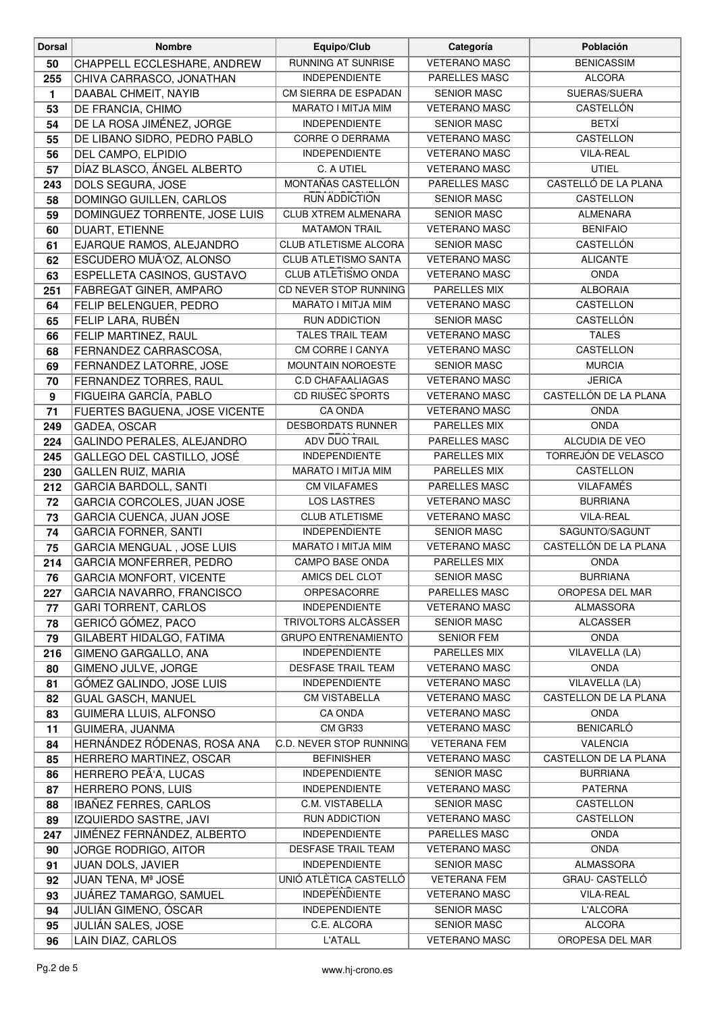| <b>Dorsal</b> | <b>Nombre</b>                                   | Equipo/Club                                       | Categoría                            | Población                     |
|---------------|-------------------------------------------------|---------------------------------------------------|--------------------------------------|-------------------------------|
| 50            | CHAPPELL ECCLESHARE, ANDREW                     | <b>RUNNING AT SUNRISE</b>                         | <b>VETERANO MASC</b>                 | <b>BENICASSIM</b>             |
| 255           | CHIVA CARRASCO, JONATHAN                        | <b>INDEPENDIENTE</b>                              | PARELLES MASC                        | <b>ALCORA</b>                 |
| 1             | DAABAL CHMEIT, NAYIB                            | CM SIERRA DE ESPADAN                              | <b>SENIOR MASC</b>                   | SUERAS/SUERA                  |
| 53            | DE FRANCIA, CHIMO                               | MARATO I MITJA MIM                                | <b>VETERANO MASC</b>                 | CASTELLÓN                     |
| 54            | DE LA ROSA JIMÉNEZ, JORGE                       | <b>INDEPENDIENTE</b>                              | <b>SENIOR MASC</b>                   | <b>BETXÍ</b>                  |
| 55            | DE LIBANO SIDRO, PEDRO PABLO                    | <b>CORRE O DERRAMA</b>                            | <b>VETERANO MASC</b>                 | CASTELLON                     |
| 56            | DEL CAMPO, ELPIDIO                              | <b>INDEPENDIENTE</b>                              | <b>VETERANO MASC</b>                 | VILA-REAL                     |
| 57            | DÍAZ BLASCO, ÁNGEL ALBERTO                      | C. A UTIEL                                        | <b>VETERANO MASC</b>                 | <b>UTIEL</b>                  |
| 243           | DOLS SEGURA, JOSE                               | MONTAÑAS CASTELLÓN                                | <b>PARELLES MASC</b>                 | CASTELLÓ DE LA PLANA          |
| 58            | DOMINGO GUILLEN, CARLOS                         | RUN ADDICTION                                     | <b>SENIOR MASC</b>                   | CASTELLON                     |
| 59            | DOMINGUEZ TORRENTE, JOSE LUIS                   | <b>CLUB XTREM ALMENARA</b>                        | <b>SENIOR MASC</b>                   | <b>ALMENARA</b>               |
| 60            | DUART, ETIENNE                                  | <b>MATAMON TRAIL</b>                              | <b>VETERANO MASC</b>                 | <b>BENIFAIO</b>               |
| 61            | EJARQUE RAMOS, ALEJANDRO                        | CLUB ATLETISME ALCORA                             | <b>SENIOR MASC</b>                   | <b>CASTELLÓN</b>              |
| 62            | ESCUDERO MUÃ'OZ, ALONSO                         | <b>CLUB ATLETISMO SANTA</b>                       | <b>VETERANO MASC</b>                 | <b>ALICANTE</b>               |
| 63            | ESPELLETA CASINOS, GUSTAVO                      | CLUB ATLETISMO ONDA                               | <b>VETERANO MASC</b>                 | <b>ONDA</b>                   |
| 251           | FABREGAT GINER, AMPARO                          | CD NEVER STOP RUNNING                             | PARELLES MIX                         | <b>ALBORAIA</b>               |
| 64            | FELIP BELENGUER, PEDRO                          | MARATO I MITJA MIM                                | <b>VETERANO MASC</b>                 | <b>CASTELLON</b>              |
| 65            | FELIP LARA, RUBÉN                               | <b>RUN ADDICTION</b>                              | <b>SENIOR MASC</b>                   | CASTELLÓN                     |
| 66            | FELIP MARTINEZ, RAUL                            | <b>TALES TRAIL TEAM</b>                           | <b>VETERANO MASC</b>                 | <b>TALES</b>                  |
| 68            | FERNANDEZ CARRASCOSA,                           | CM CORRE I CANYA                                  | <b>VETERANO MASC</b>                 | CASTELLON                     |
| 69            | FERNANDEZ LATORRE, JOSE                         | MOUNTAIN NOROESTE                                 | <b>SENIOR MASC</b>                   | <b>MURCIA</b>                 |
| 70            | FERNANDEZ TORRES, RAUL                          | <b>C.D CHAFAALIAGAS</b>                           | <b>VETERANO MASC</b>                 | <b>JERICA</b>                 |
| 9             | FIGUEIRA GARCÍA, PABLO                          | <b>CD RIUSEC SPORTS</b>                           | <b>VETERANO MASC</b>                 | CASTELLÓN DE LA PLANA         |
| 71            | FUERTES BAGUENA, JOSE VICENTE                   | <b>CA ONDA</b>                                    | <b>VETERANO MASC</b>                 | <b>ONDA</b>                   |
| 249           | GADEA, OSCAR                                    | DESBORDATS RUNNER                                 | PARELLES MIX                         | <b>ONDA</b>                   |
| 224           | GALINDO PERALES, ALEJANDRO                      | ADV DUO TRAIL                                     | PARELLES MASC                        | ALCUDIA DE VEO                |
| 245           | GALLEGO DEL CASTILLO, JOSÉ                      | <b>INDEPENDIENTE</b>                              | PARELLES MIX                         | TORREJÓN DE VELASCO           |
| 230           | <b>GALLEN RUIZ, MARIA</b>                       | MARATO I MITJA MIM                                | PARELLES MIX                         | CASTELLON                     |
| 212           | <b>GARCIA BARDOLL, SANTI</b>                    | <b>CM VILAFAMES</b>                               | PARELLES MASC                        | <b>VILAFAMÉS</b>              |
| 72            | GARCIA CORCOLES, JUAN JOSE                      | <b>LOS LASTRES</b>                                | <b>VETERANO MASC</b>                 | <b>BURRIANA</b>               |
| 73            | <b>GARCIA CUENCA, JUAN JOSE</b>                 | <b>CLUB ATLETISME</b>                             | <b>VETERANO MASC</b>                 | <b>VILA-REAL</b>              |
| 74            | <b>GARCIA FORNER, SANTI</b>                     | <b>INDEPENDIENTE</b>                              | <b>SENIOR MASC</b>                   | SAGUNTO/SAGUNT                |
| 75            | GARCIA MENGUAL, JOSE LUIS                       | MARATO I MITJA MIM                                | <b>VETERANO MASC</b>                 | CASTELLÓN DE LA PLANA         |
| 214           | <b>GARCIA MONFERRER, PEDRO</b>                  | <b>CAMPO BASE ONDA</b>                            | PARELLES MIX                         | <b>ONDA</b>                   |
| 76            | <b>GARCIA MONFORT, VICENTE</b>                  | AMICS DEL CLOT                                    | <b>SENIOR MASC</b>                   | <b>BURRIANA</b>               |
| 227           | GARCIA NAVARRO, FRANCISCO                       | ORPESACORRE                                       | PARELLES MASC                        | OROPESA DEL MAR               |
| 77            | <b>GARI TORRENT, CARLOS</b>                     | <b>INDEPENDIENTE</b>                              | <b>VETERANO MASC</b>                 | ALMASSORA                     |
| 78            | GERICÓ GÓMEZ, PACO                              | TRIVOLTORS ALCASSER                               | <b>SENIOR MASC</b>                   | <b>ALCASSER</b>               |
| 79            | GILABERT HIDALGO, FATIMA                        | <b>GRUPO ENTRENAMIENTO</b>                        | <b>SENIOR FEM</b>                    | <b>ONDA</b>                   |
| 216           | GIMENO GARGALLO, ANA                            | <b>INDEPENDIENTE</b><br><b>DESFASE TRAIL TEAM</b> | PARELLES MIX<br><b>VETERANO MASC</b> | VILAVELLA (LA)<br><b>ONDA</b> |
| 80            | GIMENO JULVE, JORGE<br>GÓMEZ GALINDO, JOSE LUIS | <b>INDEPENDIENTE</b>                              | <b>VETERANO MASC</b>                 | VILAVELLA (LA)                |
| 81            | <b>GUAL GASCH, MANUEL</b>                       | <b>CM VISTABELLA</b>                              | <b>VETERANO MASC</b>                 | CASTELLON DE LA PLANA         |
| 82<br>83      | GUIMERA LLUIS, ALFONSO                          | <b>CA ONDA</b>                                    | <b>VETERANO MASC</b>                 | <b>ONDA</b>                   |
| 11            | GUIMERA, JUANMA                                 | CM GR33                                           | <b>VETERANO MASC</b>                 | <b>BENICARLÓ</b>              |
| 84            | HERNÁNDEZ RÓDENAS, ROSA ANA                     | C.D. NEVER STOP RUNNING                           | <b>VETERANA FEM</b>                  | <b>VALENCIA</b>               |
| 85            | HERRERO MARTINEZ, OSCAR                         | <b>BEFINISHER</b>                                 | <b>VETERANO MASC</b>                 | CASTELLON DE LA PLANA         |
| 86            | HERRERO PEÃ'A, LUCAS                            | <b>INDEPENDIENTE</b>                              | <b>SENIOR MASC</b>                   | <b>BURRIANA</b>               |
| 87            | HERRERO PONS, LUIS                              | <b>INDEPENDIENTE</b>                              | <b>VETERANO MASC</b>                 | <b>PATERNA</b>                |
| 88            | IBAÑEZ FERRES, CARLOS                           | C.M. VISTABELLA                                   | <b>SENIOR MASC</b>                   | CASTELLON                     |
| 89            | IZQUIERDO SASTRE, JAVI                          | <b>RUN ADDICTION</b>                              | <b>VETERANO MASC</b>                 | CASTELLON                     |
| 247           | JIMÉNEZ FERNÁNDEZ, ALBERTO                      | <b>INDEPENDIENTE</b>                              | PARELLES MASC                        | <b>ONDA</b>                   |
| 90            | JORGE RODRIGO, AITOR                            | <b>DESFASE TRAIL TEAM</b>                         | <b>VETERANO MASC</b>                 | <b>ONDA</b>                   |
| 91            | JUAN DOLS, JAVIER                               | <b>INDEPENDIENTE</b>                              | <b>SENIOR MASC</b>                   | ALMASSORA                     |
| 92            | ∣JUAN TENA, Mª JOSÉ                             | UNIÓ ATLÈTICA CASTELLÓ                            | <b>VETERANA FEM</b>                  | GRAU- CASTELLÓ                |
| 93            | JUÁREZ TAMARGO, SAMUEL                          | <b>INDEPENDIENTE</b>                              | <b>VETERANO MASC</b>                 | <b>VILA-REAL</b>              |
| 94            | JULIÁN GIMENO, ÓSCAR                            | <b>INDEPENDIENTE</b>                              | <b>SENIOR MASC</b>                   | <b>L'ALCORA</b>               |
| 95            | JULIÁN SALES, JOSE                              | C.E. ALCORA                                       | <b>SENIOR MASC</b>                   | ALCORA                        |
| 96            | LAIN DIAZ, CARLOS                               | <b>L'ATALL</b>                                    | <b>VETERANO MASC</b>                 | OROPESA DEL MAR               |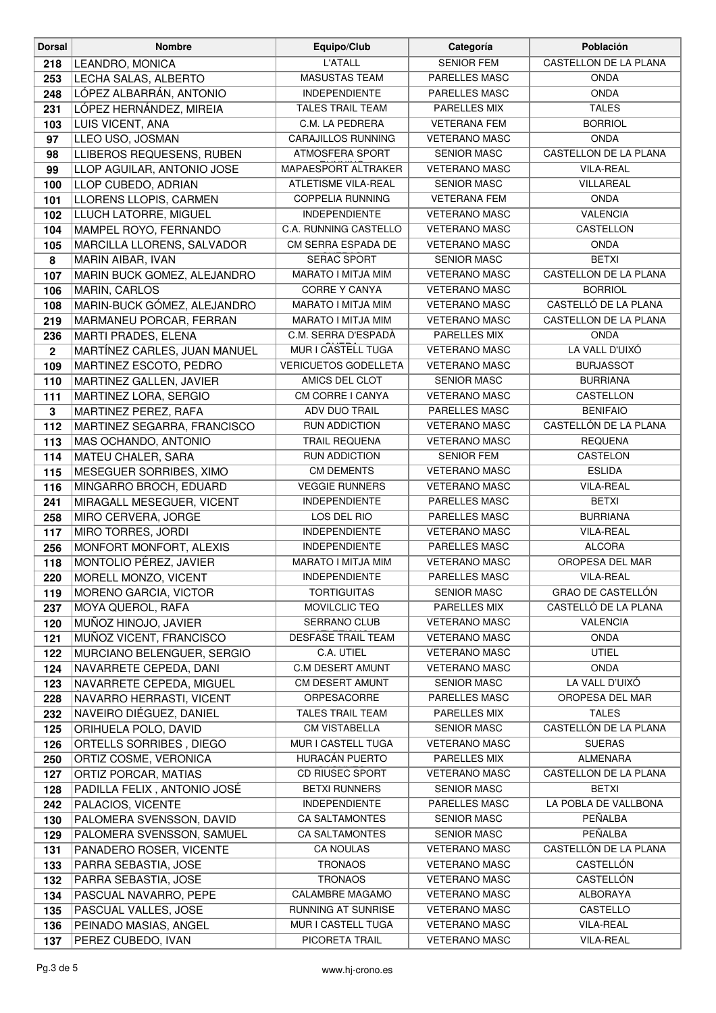| <b>L'ATALL</b><br><b>SENIOR FEM</b><br>CASTELLON DE LA PLANA<br>LEANDRO, MONICA<br>218<br>PARELLES MASC<br><b>ONDA</b><br>LECHA SALAS, ALBERTO<br><b>MASUSTAS TEAM</b><br>253<br>LÓPEZ ALBARRÁN, ANTONIO<br>PARELLES MASC<br><b>INDEPENDIENTE</b><br><b>ONDA</b><br>248<br>LÓPEZ HERNÁNDEZ, MIREIA<br><b>TALES</b><br><b>TALES TRAIL TEAM</b><br>PARELLES MIX<br>231<br>LUIS VICENT, ANA<br>C.M. LA PEDRERA<br><b>VETERANA FEM</b><br><b>BORRIOL</b><br>103<br>LLEO USO, JOSMAN<br><b>CARAJILLOS RUNNING</b><br><b>VETERANO MASC</b><br><b>ONDA</b><br>97<br>LLIBEROS REQUESENS, RUBEN<br>ATMOSFERA SPORT<br><b>SENIOR MASC</b><br>CASTELLON DE LA PLANA<br>98<br>MAPAESPORT ALTRAKER<br><b>VETERANO MASC</b><br><b>VILA-REAL</b><br>LLOP AGUILAR, ANTONIO JOSE<br>99<br>LLOP CUBEDO, ADRIAN<br>ATLETISME VILA-REAL<br><b>SENIOR MASC</b><br>VILLAREAL<br>100<br>LLORENS LLOPIS, CARMEN<br><b>COPPELIA RUNNING</b><br><b>VETERANA FEM</b><br><b>ONDA</b><br>101<br><b>INDEPENDIENTE</b><br>LLUCH LATORRE, MIGUEL<br><b>VETERANO MASC</b><br><b>VALENCIA</b><br>102<br>CASTELLON<br>C.A. RUNNING CASTELLO<br><b>VETERANO MASC</b><br>MAMPEL ROYO, FERNANDO<br>104<br>CM SERRA ESPADA DE<br><b>VETERANO MASC</b><br>MARCILLA LLORENS, SALVADOR<br><b>ONDA</b><br>105<br>SERAC SPORT<br><b>SENIOR MASC</b><br><b>BETXI</b><br>8<br>MARIN AIBAR, IVAN<br>CASTELLON DE LA PLANA<br>MARIN BUCK GOMEZ, ALEJANDRO<br>MARATO I MITJA MIM<br><b>VETERANO MASC</b><br>107<br><b>CORRE Y CANYA</b><br><b>VETERANO MASC</b><br><b>BORRIOL</b><br>MARIN, CARLOS<br>106<br>CASTELLÓ DE LA PLANA<br>MARIN-BUCK GÓMEZ, ALEJANDRO<br>MARATO I MITJA MIM<br><b>VETERANO MASC</b><br>108<br>MARATO I MITJA MIM<br><b>VETERANO MASC</b><br>CASTELLON DE LA PLANA<br>MARMANEU PORCAR, FERRAN<br>219<br>MARTI PRADES, ELENA<br>C.M. SERRA D'ESPADÀ<br>PARELLES MIX<br><b>ONDA</b><br>236<br>MUR I CASTELL TUGA<br>LA VALL D'UIXÓ<br>MARTÍNEZ CARLES, JUAN MANUEL<br><b>VETERANO MASC</b><br>$\mathbf{2}$<br><b>VERICUETOS GODELLETA</b><br>MARTINEZ ESCOTO, PEDRO<br><b>VETERANO MASC</b><br><b>BURJASSOT</b><br>109<br>AMICS DEL CLOT<br><b>SENIOR MASC</b><br><b>BURRIANA</b><br>MARTINEZ GALLEN, JAVIER<br>110<br>CM CORRE I CANYA<br>CASTELLON<br>MARTINEZ LORA, SERGIO<br><b>VETERANO MASC</b><br>111<br>ADV DUO TRAIL<br>PARELLES MASC<br><b>BENIFAIO</b><br>MARTINEZ PEREZ, RAFA<br>$\mathbf 3$<br>CASTELLÓN DE LA PLANA<br><b>RUN ADDICTION</b><br><b>VETERANO MASC</b><br>112<br>MARTINEZ SEGARRA, FRANCISCO<br>MAS OCHANDO, ANTONIO<br><b>TRAIL REQUENA</b><br><b>VETERANO MASC</b><br><b>REQUENA</b><br>113<br>MATEU CHALER, SARA<br>RUN ADDICTION<br>CASTELON<br>114<br><b>SENIOR FEM</b><br><b>CM DEMENTS</b><br><b>ESLIDA</b><br>MESEGUER SORRIBES, XIMO<br><b>VETERANO MASC</b><br>115<br><b>VEGGIE RUNNERS</b><br><b>VETERANO MASC</b><br><b>VILA-REAL</b><br>MINGARRO BROCH, EDUARD<br>116<br><b>INDEPENDIENTE</b><br>PARELLES MASC<br><b>BETXI</b><br>241<br>MIRAGALL MESEGUER, VICENT<br>LOS DEL RIO<br>PARELLES MASC<br><b>BURRIANA</b><br>MIRO CERVERA, JORGE<br>258<br><b>INDEPENDIENTE</b><br>VILA-REAL<br>MIRO TORRES, JORDI<br><b>VETERANO MASC</b><br>117<br><b>INDEPENDIENTE</b><br><b>ALCORA</b><br>MONFORT MONFORT, ALEXIS<br>PARELLES MASC<br>256<br><b>MONTOLIO PÉREZ, JAVIER</b><br><b>OROPESA DEL MAR</b><br>MARATO I MITJA MIM<br><b>VETERANO MASC</b><br>118<br>MORELL MONZO, VICENT<br><b>INDEPENDIENTE</b><br>PARELLES MASC<br><b>VILA-REAL</b><br>220<br>GRAO DE CASTELLÓN<br>MORENO GARCIA, VICTOR<br><b>TORTIGUITAS</b><br><b>SENIOR MASC</b><br>119<br>MOVILCLIC TEQ<br>PARELLES MIX<br>CASTELLÓ DE LA PLANA<br>MOYA QUEROL, RAFA<br>237<br>MUÑOZ HINOJO, JAVIER<br>SERRANO CLUB<br><b>VETERANO MASC</b><br><b>VALENCIA</b><br>120<br><b>DESFASE TRAIL TEAM</b><br><b>VETERANO MASC</b><br>MUÑOZ VICENT, FRANCISCO<br><b>ONDA</b><br>121<br>C.A. UTIEL<br><b>UTIEL</b><br>MURCIANO BELENGUER, SERGIO<br><b>VETERANO MASC</b><br>122<br>C.M DESERT AMUNT<br><b>ONDA</b><br>NAVARRETE CEPEDA, DANI<br><b>VETERANO MASC</b><br>124<br>LA VALL D'UIXÓ<br>NAVARRETE CEPEDA, MIGUEL<br>CM DESERT AMUNT<br><b>SENIOR MASC</b><br>123<br>ORPESACORRE<br>OROPESA DEL MAR<br>NAVARRO HERRASTI, VICENT<br>PARELLES MASC<br>228<br><b>TALES</b><br>NAVEIRO DIÉGUEZ, DANIEL<br><b>TALES TRAIL TEAM</b><br>PARELLES MIX<br>232<br>CASTELLÓN DE LA PLANA<br><b>CM VISTABELLA</b><br><b>SENIOR MASC</b><br>ORIHUELA POLO, DAVID<br>125<br>MUR I CASTELL TUGA<br><b>VETERANO MASC</b><br><b>SUERAS</b><br>ORTELLS SORRIBES, DIEGO<br>126<br>HURACÁN PUERTO<br><b>ALMENARA</b><br>PARELLES MIX<br>ORTIZ COSME, VERONICA<br>250<br><b>CD RIUSEC SPORT</b><br>CASTELLON DE LA PLANA<br>ORTIZ PORCAR, MATIAS<br><b>VETERANO MASC</b><br>127<br><b>BETXI RUNNERS</b><br><b>SENIOR MASC</b><br><b>BETXI</b><br>PADILLA FELIX, ANTONIO JOSÉ<br>128<br><b>INDEPENDIENTE</b><br>PARELLES MASC<br>LA POBLA DE VALLBONA<br>242<br>PALACIOS, VICENTE<br>PEÑALBA<br><b>CA SALTAMONTES</b><br>PALOMERA SVENSSON, DAVID<br><b>SENIOR MASC</b><br>130<br><b>CA SALTAMONTES</b><br>PEÑALBA<br>PALOMERA SVENSSON, SAMUEL<br><b>SENIOR MASC</b><br>129<br>CASTELLÓN DE LA PLANA<br>CA NOULAS<br><b>VETERANO MASC</b><br>131<br>PANADERO ROSER, VICENTE<br>CASTELLÓN<br><b>TRONAOS</b><br><b>VETERANO MASC</b><br>PARRA SEBASTIA, JOSE<br>133<br>CASTELLÓN<br><b>TRONAOS</b><br><b>VETERANO MASC</b><br>PARRA SEBASTIA, JOSE<br>132<br>CALAMBRE MAGAMO<br>ALBORAYA<br><b>VETERANO MASC</b><br>PASCUAL NAVARRO, PEPE<br>134<br><b>RUNNING AT SUNRISE</b><br>CASTELLO<br>PASCUAL VALLES, JOSE<br><b>VETERANO MASC</b><br>135<br>MUR I CASTELL TUGA<br><b>VETERANO MASC</b><br><b>VILA-REAL</b><br>PEINADO MASIAS, ANGEL<br>136 | <b>Dorsal</b> | <b>Nombre</b>      | Equipo/Club    | Categoría            | Población |
|-----------------------------------------------------------------------------------------------------------------------------------------------------------------------------------------------------------------------------------------------------------------------------------------------------------------------------------------------------------------------------------------------------------------------------------------------------------------------------------------------------------------------------------------------------------------------------------------------------------------------------------------------------------------------------------------------------------------------------------------------------------------------------------------------------------------------------------------------------------------------------------------------------------------------------------------------------------------------------------------------------------------------------------------------------------------------------------------------------------------------------------------------------------------------------------------------------------------------------------------------------------------------------------------------------------------------------------------------------------------------------------------------------------------------------------------------------------------------------------------------------------------------------------------------------------------------------------------------------------------------------------------------------------------------------------------------------------------------------------------------------------------------------------------------------------------------------------------------------------------------------------------------------------------------------------------------------------------------------------------------------------------------------------------------------------------------------------------------------------------------------------------------------------------------------------------------------------------------------------------------------------------------------------------------------------------------------------------------------------------------------------------------------------------------------------------------------------------------------------------------------------------------------------------------------------------------------------------------------------------------------------------------------------------------------------------------------------------------------------------------------------------------------------------------------------------------------------------------------------------------------------------------------------------------------------------------------------------------------------------------------------------------------------------------------------------------------------------------------------------------------------------------------------------------------------------------------------------------------------------------------------------------------------------------------------------------------------------------------------------------------------------------------------------------------------------------------------------------------------------------------------------------------------------------------------------------------------------------------------------------------------------------------------------------------------------------------------------------------------------------------------------------------------------------------------------------------------------------------------------------------------------------------------------------------------------------------------------------------------------------------------------------------------------------------------------------------------------------------------------------------------------------------------------------------------------------------------------------------------------------------------------------------------------------------------------------------------------------------------------------------------------------------------------------------------------------------------------------------------------------------------------------------------------------------------------------------------------------------------------------------------------------------------------------------------------------------------------------------------------------------------------------------------------------------------------------------------------------------------------------------------------------------------------------------------------------------------------------------------------------------------------------------------------------------------------------------------------------------------------------------------------------------------------------------------------------------------------------------------------------------------------------------------------------------------------------------------------------------------------------------------------------------------------------------------------------------------------------------------------------------------------------------------------------------------------------------------------------------------------------------------------------------------------------------------------------------------|---------------|--------------------|----------------|----------------------|-----------|
|                                                                                                                                                                                                                                                                                                                                                                                                                                                                                                                                                                                                                                                                                                                                                                                                                                                                                                                                                                                                                                                                                                                                                                                                                                                                                                                                                                                                                                                                                                                                                                                                                                                                                                                                                                                                                                                                                                                                                                                                                                                                                                                                                                                                                                                                                                                                                                                                                                                                                                                                                                                                                                                                                                                                                                                                                                                                                                                                                                                                                                                                                                                                                                                                                                                                                                                                                                                                                                                                                                                                                                                                                                                                                                                                                                                                                                                                                                                                                                                                                                                                                                                                                                                                                                                                                                                                                                                                                                                                                                                                                                                                                                                                                                                                                                                                                                                                                                                                                                                                                                                                                                                                                                                                                                                                                                                                                                                                                                                                                                                                                                                                                                                                                                           |               |                    |                |                      |           |
|                                                                                                                                                                                                                                                                                                                                                                                                                                                                                                                                                                                                                                                                                                                                                                                                                                                                                                                                                                                                                                                                                                                                                                                                                                                                                                                                                                                                                                                                                                                                                                                                                                                                                                                                                                                                                                                                                                                                                                                                                                                                                                                                                                                                                                                                                                                                                                                                                                                                                                                                                                                                                                                                                                                                                                                                                                                                                                                                                                                                                                                                                                                                                                                                                                                                                                                                                                                                                                                                                                                                                                                                                                                                                                                                                                                                                                                                                                                                                                                                                                                                                                                                                                                                                                                                                                                                                                                                                                                                                                                                                                                                                                                                                                                                                                                                                                                                                                                                                                                                                                                                                                                                                                                                                                                                                                                                                                                                                                                                                                                                                                                                                                                                                                           |               |                    |                |                      |           |
|                                                                                                                                                                                                                                                                                                                                                                                                                                                                                                                                                                                                                                                                                                                                                                                                                                                                                                                                                                                                                                                                                                                                                                                                                                                                                                                                                                                                                                                                                                                                                                                                                                                                                                                                                                                                                                                                                                                                                                                                                                                                                                                                                                                                                                                                                                                                                                                                                                                                                                                                                                                                                                                                                                                                                                                                                                                                                                                                                                                                                                                                                                                                                                                                                                                                                                                                                                                                                                                                                                                                                                                                                                                                                                                                                                                                                                                                                                                                                                                                                                                                                                                                                                                                                                                                                                                                                                                                                                                                                                                                                                                                                                                                                                                                                                                                                                                                                                                                                                                                                                                                                                                                                                                                                                                                                                                                                                                                                                                                                                                                                                                                                                                                                                           |               |                    |                |                      |           |
|                                                                                                                                                                                                                                                                                                                                                                                                                                                                                                                                                                                                                                                                                                                                                                                                                                                                                                                                                                                                                                                                                                                                                                                                                                                                                                                                                                                                                                                                                                                                                                                                                                                                                                                                                                                                                                                                                                                                                                                                                                                                                                                                                                                                                                                                                                                                                                                                                                                                                                                                                                                                                                                                                                                                                                                                                                                                                                                                                                                                                                                                                                                                                                                                                                                                                                                                                                                                                                                                                                                                                                                                                                                                                                                                                                                                                                                                                                                                                                                                                                                                                                                                                                                                                                                                                                                                                                                                                                                                                                                                                                                                                                                                                                                                                                                                                                                                                                                                                                                                                                                                                                                                                                                                                                                                                                                                                                                                                                                                                                                                                                                                                                                                                                           |               |                    |                |                      |           |
|                                                                                                                                                                                                                                                                                                                                                                                                                                                                                                                                                                                                                                                                                                                                                                                                                                                                                                                                                                                                                                                                                                                                                                                                                                                                                                                                                                                                                                                                                                                                                                                                                                                                                                                                                                                                                                                                                                                                                                                                                                                                                                                                                                                                                                                                                                                                                                                                                                                                                                                                                                                                                                                                                                                                                                                                                                                                                                                                                                                                                                                                                                                                                                                                                                                                                                                                                                                                                                                                                                                                                                                                                                                                                                                                                                                                                                                                                                                                                                                                                                                                                                                                                                                                                                                                                                                                                                                                                                                                                                                                                                                                                                                                                                                                                                                                                                                                                                                                                                                                                                                                                                                                                                                                                                                                                                                                                                                                                                                                                                                                                                                                                                                                                                           |               |                    |                |                      |           |
|                                                                                                                                                                                                                                                                                                                                                                                                                                                                                                                                                                                                                                                                                                                                                                                                                                                                                                                                                                                                                                                                                                                                                                                                                                                                                                                                                                                                                                                                                                                                                                                                                                                                                                                                                                                                                                                                                                                                                                                                                                                                                                                                                                                                                                                                                                                                                                                                                                                                                                                                                                                                                                                                                                                                                                                                                                                                                                                                                                                                                                                                                                                                                                                                                                                                                                                                                                                                                                                                                                                                                                                                                                                                                                                                                                                                                                                                                                                                                                                                                                                                                                                                                                                                                                                                                                                                                                                                                                                                                                                                                                                                                                                                                                                                                                                                                                                                                                                                                                                                                                                                                                                                                                                                                                                                                                                                                                                                                                                                                                                                                                                                                                                                                                           |               |                    |                |                      |           |
|                                                                                                                                                                                                                                                                                                                                                                                                                                                                                                                                                                                                                                                                                                                                                                                                                                                                                                                                                                                                                                                                                                                                                                                                                                                                                                                                                                                                                                                                                                                                                                                                                                                                                                                                                                                                                                                                                                                                                                                                                                                                                                                                                                                                                                                                                                                                                                                                                                                                                                                                                                                                                                                                                                                                                                                                                                                                                                                                                                                                                                                                                                                                                                                                                                                                                                                                                                                                                                                                                                                                                                                                                                                                                                                                                                                                                                                                                                                                                                                                                                                                                                                                                                                                                                                                                                                                                                                                                                                                                                                                                                                                                                                                                                                                                                                                                                                                                                                                                                                                                                                                                                                                                                                                                                                                                                                                                                                                                                                                                                                                                                                                                                                                                                           |               |                    |                |                      |           |
|                                                                                                                                                                                                                                                                                                                                                                                                                                                                                                                                                                                                                                                                                                                                                                                                                                                                                                                                                                                                                                                                                                                                                                                                                                                                                                                                                                                                                                                                                                                                                                                                                                                                                                                                                                                                                                                                                                                                                                                                                                                                                                                                                                                                                                                                                                                                                                                                                                                                                                                                                                                                                                                                                                                                                                                                                                                                                                                                                                                                                                                                                                                                                                                                                                                                                                                                                                                                                                                                                                                                                                                                                                                                                                                                                                                                                                                                                                                                                                                                                                                                                                                                                                                                                                                                                                                                                                                                                                                                                                                                                                                                                                                                                                                                                                                                                                                                                                                                                                                                                                                                                                                                                                                                                                                                                                                                                                                                                                                                                                                                                                                                                                                                                                           |               |                    |                |                      |           |
|                                                                                                                                                                                                                                                                                                                                                                                                                                                                                                                                                                                                                                                                                                                                                                                                                                                                                                                                                                                                                                                                                                                                                                                                                                                                                                                                                                                                                                                                                                                                                                                                                                                                                                                                                                                                                                                                                                                                                                                                                                                                                                                                                                                                                                                                                                                                                                                                                                                                                                                                                                                                                                                                                                                                                                                                                                                                                                                                                                                                                                                                                                                                                                                                                                                                                                                                                                                                                                                                                                                                                                                                                                                                                                                                                                                                                                                                                                                                                                                                                                                                                                                                                                                                                                                                                                                                                                                                                                                                                                                                                                                                                                                                                                                                                                                                                                                                                                                                                                                                                                                                                                                                                                                                                                                                                                                                                                                                                                                                                                                                                                                                                                                                                                           |               |                    |                |                      |           |
|                                                                                                                                                                                                                                                                                                                                                                                                                                                                                                                                                                                                                                                                                                                                                                                                                                                                                                                                                                                                                                                                                                                                                                                                                                                                                                                                                                                                                                                                                                                                                                                                                                                                                                                                                                                                                                                                                                                                                                                                                                                                                                                                                                                                                                                                                                                                                                                                                                                                                                                                                                                                                                                                                                                                                                                                                                                                                                                                                                                                                                                                                                                                                                                                                                                                                                                                                                                                                                                                                                                                                                                                                                                                                                                                                                                                                                                                                                                                                                                                                                                                                                                                                                                                                                                                                                                                                                                                                                                                                                                                                                                                                                                                                                                                                                                                                                                                                                                                                                                                                                                                                                                                                                                                                                                                                                                                                                                                                                                                                                                                                                                                                                                                                                           |               |                    |                |                      |           |
|                                                                                                                                                                                                                                                                                                                                                                                                                                                                                                                                                                                                                                                                                                                                                                                                                                                                                                                                                                                                                                                                                                                                                                                                                                                                                                                                                                                                                                                                                                                                                                                                                                                                                                                                                                                                                                                                                                                                                                                                                                                                                                                                                                                                                                                                                                                                                                                                                                                                                                                                                                                                                                                                                                                                                                                                                                                                                                                                                                                                                                                                                                                                                                                                                                                                                                                                                                                                                                                                                                                                                                                                                                                                                                                                                                                                                                                                                                                                                                                                                                                                                                                                                                                                                                                                                                                                                                                                                                                                                                                                                                                                                                                                                                                                                                                                                                                                                                                                                                                                                                                                                                                                                                                                                                                                                                                                                                                                                                                                                                                                                                                                                                                                                                           |               |                    |                |                      |           |
|                                                                                                                                                                                                                                                                                                                                                                                                                                                                                                                                                                                                                                                                                                                                                                                                                                                                                                                                                                                                                                                                                                                                                                                                                                                                                                                                                                                                                                                                                                                                                                                                                                                                                                                                                                                                                                                                                                                                                                                                                                                                                                                                                                                                                                                                                                                                                                                                                                                                                                                                                                                                                                                                                                                                                                                                                                                                                                                                                                                                                                                                                                                                                                                                                                                                                                                                                                                                                                                                                                                                                                                                                                                                                                                                                                                                                                                                                                                                                                                                                                                                                                                                                                                                                                                                                                                                                                                                                                                                                                                                                                                                                                                                                                                                                                                                                                                                                                                                                                                                                                                                                                                                                                                                                                                                                                                                                                                                                                                                                                                                                                                                                                                                                                           |               |                    |                |                      |           |
|                                                                                                                                                                                                                                                                                                                                                                                                                                                                                                                                                                                                                                                                                                                                                                                                                                                                                                                                                                                                                                                                                                                                                                                                                                                                                                                                                                                                                                                                                                                                                                                                                                                                                                                                                                                                                                                                                                                                                                                                                                                                                                                                                                                                                                                                                                                                                                                                                                                                                                                                                                                                                                                                                                                                                                                                                                                                                                                                                                                                                                                                                                                                                                                                                                                                                                                                                                                                                                                                                                                                                                                                                                                                                                                                                                                                                                                                                                                                                                                                                                                                                                                                                                                                                                                                                                                                                                                                                                                                                                                                                                                                                                                                                                                                                                                                                                                                                                                                                                                                                                                                                                                                                                                                                                                                                                                                                                                                                                                                                                                                                                                                                                                                                                           |               |                    |                |                      |           |
|                                                                                                                                                                                                                                                                                                                                                                                                                                                                                                                                                                                                                                                                                                                                                                                                                                                                                                                                                                                                                                                                                                                                                                                                                                                                                                                                                                                                                                                                                                                                                                                                                                                                                                                                                                                                                                                                                                                                                                                                                                                                                                                                                                                                                                                                                                                                                                                                                                                                                                                                                                                                                                                                                                                                                                                                                                                                                                                                                                                                                                                                                                                                                                                                                                                                                                                                                                                                                                                                                                                                                                                                                                                                                                                                                                                                                                                                                                                                                                                                                                                                                                                                                                                                                                                                                                                                                                                                                                                                                                                                                                                                                                                                                                                                                                                                                                                                                                                                                                                                                                                                                                                                                                                                                                                                                                                                                                                                                                                                                                                                                                                                                                                                                                           |               |                    |                |                      |           |
|                                                                                                                                                                                                                                                                                                                                                                                                                                                                                                                                                                                                                                                                                                                                                                                                                                                                                                                                                                                                                                                                                                                                                                                                                                                                                                                                                                                                                                                                                                                                                                                                                                                                                                                                                                                                                                                                                                                                                                                                                                                                                                                                                                                                                                                                                                                                                                                                                                                                                                                                                                                                                                                                                                                                                                                                                                                                                                                                                                                                                                                                                                                                                                                                                                                                                                                                                                                                                                                                                                                                                                                                                                                                                                                                                                                                                                                                                                                                                                                                                                                                                                                                                                                                                                                                                                                                                                                                                                                                                                                                                                                                                                                                                                                                                                                                                                                                                                                                                                                                                                                                                                                                                                                                                                                                                                                                                                                                                                                                                                                                                                                                                                                                                                           |               |                    |                |                      |           |
|                                                                                                                                                                                                                                                                                                                                                                                                                                                                                                                                                                                                                                                                                                                                                                                                                                                                                                                                                                                                                                                                                                                                                                                                                                                                                                                                                                                                                                                                                                                                                                                                                                                                                                                                                                                                                                                                                                                                                                                                                                                                                                                                                                                                                                                                                                                                                                                                                                                                                                                                                                                                                                                                                                                                                                                                                                                                                                                                                                                                                                                                                                                                                                                                                                                                                                                                                                                                                                                                                                                                                                                                                                                                                                                                                                                                                                                                                                                                                                                                                                                                                                                                                                                                                                                                                                                                                                                                                                                                                                                                                                                                                                                                                                                                                                                                                                                                                                                                                                                                                                                                                                                                                                                                                                                                                                                                                                                                                                                                                                                                                                                                                                                                                                           |               |                    |                |                      |           |
|                                                                                                                                                                                                                                                                                                                                                                                                                                                                                                                                                                                                                                                                                                                                                                                                                                                                                                                                                                                                                                                                                                                                                                                                                                                                                                                                                                                                                                                                                                                                                                                                                                                                                                                                                                                                                                                                                                                                                                                                                                                                                                                                                                                                                                                                                                                                                                                                                                                                                                                                                                                                                                                                                                                                                                                                                                                                                                                                                                                                                                                                                                                                                                                                                                                                                                                                                                                                                                                                                                                                                                                                                                                                                                                                                                                                                                                                                                                                                                                                                                                                                                                                                                                                                                                                                                                                                                                                                                                                                                                                                                                                                                                                                                                                                                                                                                                                                                                                                                                                                                                                                                                                                                                                                                                                                                                                                                                                                                                                                                                                                                                                                                                                                                           |               |                    |                |                      |           |
|                                                                                                                                                                                                                                                                                                                                                                                                                                                                                                                                                                                                                                                                                                                                                                                                                                                                                                                                                                                                                                                                                                                                                                                                                                                                                                                                                                                                                                                                                                                                                                                                                                                                                                                                                                                                                                                                                                                                                                                                                                                                                                                                                                                                                                                                                                                                                                                                                                                                                                                                                                                                                                                                                                                                                                                                                                                                                                                                                                                                                                                                                                                                                                                                                                                                                                                                                                                                                                                                                                                                                                                                                                                                                                                                                                                                                                                                                                                                                                                                                                                                                                                                                                                                                                                                                                                                                                                                                                                                                                                                                                                                                                                                                                                                                                                                                                                                                                                                                                                                                                                                                                                                                                                                                                                                                                                                                                                                                                                                                                                                                                                                                                                                                                           |               |                    |                |                      |           |
|                                                                                                                                                                                                                                                                                                                                                                                                                                                                                                                                                                                                                                                                                                                                                                                                                                                                                                                                                                                                                                                                                                                                                                                                                                                                                                                                                                                                                                                                                                                                                                                                                                                                                                                                                                                                                                                                                                                                                                                                                                                                                                                                                                                                                                                                                                                                                                                                                                                                                                                                                                                                                                                                                                                                                                                                                                                                                                                                                                                                                                                                                                                                                                                                                                                                                                                                                                                                                                                                                                                                                                                                                                                                                                                                                                                                                                                                                                                                                                                                                                                                                                                                                                                                                                                                                                                                                                                                                                                                                                                                                                                                                                                                                                                                                                                                                                                                                                                                                                                                                                                                                                                                                                                                                                                                                                                                                                                                                                                                                                                                                                                                                                                                                                           |               |                    |                |                      |           |
|                                                                                                                                                                                                                                                                                                                                                                                                                                                                                                                                                                                                                                                                                                                                                                                                                                                                                                                                                                                                                                                                                                                                                                                                                                                                                                                                                                                                                                                                                                                                                                                                                                                                                                                                                                                                                                                                                                                                                                                                                                                                                                                                                                                                                                                                                                                                                                                                                                                                                                                                                                                                                                                                                                                                                                                                                                                                                                                                                                                                                                                                                                                                                                                                                                                                                                                                                                                                                                                                                                                                                                                                                                                                                                                                                                                                                                                                                                                                                                                                                                                                                                                                                                                                                                                                                                                                                                                                                                                                                                                                                                                                                                                                                                                                                                                                                                                                                                                                                                                                                                                                                                                                                                                                                                                                                                                                                                                                                                                                                                                                                                                                                                                                                                           |               |                    |                |                      |           |
|                                                                                                                                                                                                                                                                                                                                                                                                                                                                                                                                                                                                                                                                                                                                                                                                                                                                                                                                                                                                                                                                                                                                                                                                                                                                                                                                                                                                                                                                                                                                                                                                                                                                                                                                                                                                                                                                                                                                                                                                                                                                                                                                                                                                                                                                                                                                                                                                                                                                                                                                                                                                                                                                                                                                                                                                                                                                                                                                                                                                                                                                                                                                                                                                                                                                                                                                                                                                                                                                                                                                                                                                                                                                                                                                                                                                                                                                                                                                                                                                                                                                                                                                                                                                                                                                                                                                                                                                                                                                                                                                                                                                                                                                                                                                                                                                                                                                                                                                                                                                                                                                                                                                                                                                                                                                                                                                                                                                                                                                                                                                                                                                                                                                                                           |               |                    |                |                      |           |
|                                                                                                                                                                                                                                                                                                                                                                                                                                                                                                                                                                                                                                                                                                                                                                                                                                                                                                                                                                                                                                                                                                                                                                                                                                                                                                                                                                                                                                                                                                                                                                                                                                                                                                                                                                                                                                                                                                                                                                                                                                                                                                                                                                                                                                                                                                                                                                                                                                                                                                                                                                                                                                                                                                                                                                                                                                                                                                                                                                                                                                                                                                                                                                                                                                                                                                                                                                                                                                                                                                                                                                                                                                                                                                                                                                                                                                                                                                                                                                                                                                                                                                                                                                                                                                                                                                                                                                                                                                                                                                                                                                                                                                                                                                                                                                                                                                                                                                                                                                                                                                                                                                                                                                                                                                                                                                                                                                                                                                                                                                                                                                                                                                                                                                           |               |                    |                |                      |           |
|                                                                                                                                                                                                                                                                                                                                                                                                                                                                                                                                                                                                                                                                                                                                                                                                                                                                                                                                                                                                                                                                                                                                                                                                                                                                                                                                                                                                                                                                                                                                                                                                                                                                                                                                                                                                                                                                                                                                                                                                                                                                                                                                                                                                                                                                                                                                                                                                                                                                                                                                                                                                                                                                                                                                                                                                                                                                                                                                                                                                                                                                                                                                                                                                                                                                                                                                                                                                                                                                                                                                                                                                                                                                                                                                                                                                                                                                                                                                                                                                                                                                                                                                                                                                                                                                                                                                                                                                                                                                                                                                                                                                                                                                                                                                                                                                                                                                                                                                                                                                                                                                                                                                                                                                                                                                                                                                                                                                                                                                                                                                                                                                                                                                                                           |               |                    |                |                      |           |
|                                                                                                                                                                                                                                                                                                                                                                                                                                                                                                                                                                                                                                                                                                                                                                                                                                                                                                                                                                                                                                                                                                                                                                                                                                                                                                                                                                                                                                                                                                                                                                                                                                                                                                                                                                                                                                                                                                                                                                                                                                                                                                                                                                                                                                                                                                                                                                                                                                                                                                                                                                                                                                                                                                                                                                                                                                                                                                                                                                                                                                                                                                                                                                                                                                                                                                                                                                                                                                                                                                                                                                                                                                                                                                                                                                                                                                                                                                                                                                                                                                                                                                                                                                                                                                                                                                                                                                                                                                                                                                                                                                                                                                                                                                                                                                                                                                                                                                                                                                                                                                                                                                                                                                                                                                                                                                                                                                                                                                                                                                                                                                                                                                                                                                           |               |                    |                |                      |           |
|                                                                                                                                                                                                                                                                                                                                                                                                                                                                                                                                                                                                                                                                                                                                                                                                                                                                                                                                                                                                                                                                                                                                                                                                                                                                                                                                                                                                                                                                                                                                                                                                                                                                                                                                                                                                                                                                                                                                                                                                                                                                                                                                                                                                                                                                                                                                                                                                                                                                                                                                                                                                                                                                                                                                                                                                                                                                                                                                                                                                                                                                                                                                                                                                                                                                                                                                                                                                                                                                                                                                                                                                                                                                                                                                                                                                                                                                                                                                                                                                                                                                                                                                                                                                                                                                                                                                                                                                                                                                                                                                                                                                                                                                                                                                                                                                                                                                                                                                                                                                                                                                                                                                                                                                                                                                                                                                                                                                                                                                                                                                                                                                                                                                                                           |               |                    |                |                      |           |
|                                                                                                                                                                                                                                                                                                                                                                                                                                                                                                                                                                                                                                                                                                                                                                                                                                                                                                                                                                                                                                                                                                                                                                                                                                                                                                                                                                                                                                                                                                                                                                                                                                                                                                                                                                                                                                                                                                                                                                                                                                                                                                                                                                                                                                                                                                                                                                                                                                                                                                                                                                                                                                                                                                                                                                                                                                                                                                                                                                                                                                                                                                                                                                                                                                                                                                                                                                                                                                                                                                                                                                                                                                                                                                                                                                                                                                                                                                                                                                                                                                                                                                                                                                                                                                                                                                                                                                                                                                                                                                                                                                                                                                                                                                                                                                                                                                                                                                                                                                                                                                                                                                                                                                                                                                                                                                                                                                                                                                                                                                                                                                                                                                                                                                           |               |                    |                |                      |           |
|                                                                                                                                                                                                                                                                                                                                                                                                                                                                                                                                                                                                                                                                                                                                                                                                                                                                                                                                                                                                                                                                                                                                                                                                                                                                                                                                                                                                                                                                                                                                                                                                                                                                                                                                                                                                                                                                                                                                                                                                                                                                                                                                                                                                                                                                                                                                                                                                                                                                                                                                                                                                                                                                                                                                                                                                                                                                                                                                                                                                                                                                                                                                                                                                                                                                                                                                                                                                                                                                                                                                                                                                                                                                                                                                                                                                                                                                                                                                                                                                                                                                                                                                                                                                                                                                                                                                                                                                                                                                                                                                                                                                                                                                                                                                                                                                                                                                                                                                                                                                                                                                                                                                                                                                                                                                                                                                                                                                                                                                                                                                                                                                                                                                                                           |               |                    |                |                      |           |
|                                                                                                                                                                                                                                                                                                                                                                                                                                                                                                                                                                                                                                                                                                                                                                                                                                                                                                                                                                                                                                                                                                                                                                                                                                                                                                                                                                                                                                                                                                                                                                                                                                                                                                                                                                                                                                                                                                                                                                                                                                                                                                                                                                                                                                                                                                                                                                                                                                                                                                                                                                                                                                                                                                                                                                                                                                                                                                                                                                                                                                                                                                                                                                                                                                                                                                                                                                                                                                                                                                                                                                                                                                                                                                                                                                                                                                                                                                                                                                                                                                                                                                                                                                                                                                                                                                                                                                                                                                                                                                                                                                                                                                                                                                                                                                                                                                                                                                                                                                                                                                                                                                                                                                                                                                                                                                                                                                                                                                                                                                                                                                                                                                                                                                           |               |                    |                |                      |           |
|                                                                                                                                                                                                                                                                                                                                                                                                                                                                                                                                                                                                                                                                                                                                                                                                                                                                                                                                                                                                                                                                                                                                                                                                                                                                                                                                                                                                                                                                                                                                                                                                                                                                                                                                                                                                                                                                                                                                                                                                                                                                                                                                                                                                                                                                                                                                                                                                                                                                                                                                                                                                                                                                                                                                                                                                                                                                                                                                                                                                                                                                                                                                                                                                                                                                                                                                                                                                                                                                                                                                                                                                                                                                                                                                                                                                                                                                                                                                                                                                                                                                                                                                                                                                                                                                                                                                                                                                                                                                                                                                                                                                                                                                                                                                                                                                                                                                                                                                                                                                                                                                                                                                                                                                                                                                                                                                                                                                                                                                                                                                                                                                                                                                                                           |               |                    |                |                      |           |
|                                                                                                                                                                                                                                                                                                                                                                                                                                                                                                                                                                                                                                                                                                                                                                                                                                                                                                                                                                                                                                                                                                                                                                                                                                                                                                                                                                                                                                                                                                                                                                                                                                                                                                                                                                                                                                                                                                                                                                                                                                                                                                                                                                                                                                                                                                                                                                                                                                                                                                                                                                                                                                                                                                                                                                                                                                                                                                                                                                                                                                                                                                                                                                                                                                                                                                                                                                                                                                                                                                                                                                                                                                                                                                                                                                                                                                                                                                                                                                                                                                                                                                                                                                                                                                                                                                                                                                                                                                                                                                                                                                                                                                                                                                                                                                                                                                                                                                                                                                                                                                                                                                                                                                                                                                                                                                                                                                                                                                                                                                                                                                                                                                                                                                           |               |                    |                |                      |           |
|                                                                                                                                                                                                                                                                                                                                                                                                                                                                                                                                                                                                                                                                                                                                                                                                                                                                                                                                                                                                                                                                                                                                                                                                                                                                                                                                                                                                                                                                                                                                                                                                                                                                                                                                                                                                                                                                                                                                                                                                                                                                                                                                                                                                                                                                                                                                                                                                                                                                                                                                                                                                                                                                                                                                                                                                                                                                                                                                                                                                                                                                                                                                                                                                                                                                                                                                                                                                                                                                                                                                                                                                                                                                                                                                                                                                                                                                                                                                                                                                                                                                                                                                                                                                                                                                                                                                                                                                                                                                                                                                                                                                                                                                                                                                                                                                                                                                                                                                                                                                                                                                                                                                                                                                                                                                                                                                                                                                                                                                                                                                                                                                                                                                                                           |               |                    |                |                      |           |
|                                                                                                                                                                                                                                                                                                                                                                                                                                                                                                                                                                                                                                                                                                                                                                                                                                                                                                                                                                                                                                                                                                                                                                                                                                                                                                                                                                                                                                                                                                                                                                                                                                                                                                                                                                                                                                                                                                                                                                                                                                                                                                                                                                                                                                                                                                                                                                                                                                                                                                                                                                                                                                                                                                                                                                                                                                                                                                                                                                                                                                                                                                                                                                                                                                                                                                                                                                                                                                                                                                                                                                                                                                                                                                                                                                                                                                                                                                                                                                                                                                                                                                                                                                                                                                                                                                                                                                                                                                                                                                                                                                                                                                                                                                                                                                                                                                                                                                                                                                                                                                                                                                                                                                                                                                                                                                                                                                                                                                                                                                                                                                                                                                                                                                           |               |                    |                |                      |           |
|                                                                                                                                                                                                                                                                                                                                                                                                                                                                                                                                                                                                                                                                                                                                                                                                                                                                                                                                                                                                                                                                                                                                                                                                                                                                                                                                                                                                                                                                                                                                                                                                                                                                                                                                                                                                                                                                                                                                                                                                                                                                                                                                                                                                                                                                                                                                                                                                                                                                                                                                                                                                                                                                                                                                                                                                                                                                                                                                                                                                                                                                                                                                                                                                                                                                                                                                                                                                                                                                                                                                                                                                                                                                                                                                                                                                                                                                                                                                                                                                                                                                                                                                                                                                                                                                                                                                                                                                                                                                                                                                                                                                                                                                                                                                                                                                                                                                                                                                                                                                                                                                                                                                                                                                                                                                                                                                                                                                                                                                                                                                                                                                                                                                                                           |               |                    |                |                      |           |
|                                                                                                                                                                                                                                                                                                                                                                                                                                                                                                                                                                                                                                                                                                                                                                                                                                                                                                                                                                                                                                                                                                                                                                                                                                                                                                                                                                                                                                                                                                                                                                                                                                                                                                                                                                                                                                                                                                                                                                                                                                                                                                                                                                                                                                                                                                                                                                                                                                                                                                                                                                                                                                                                                                                                                                                                                                                                                                                                                                                                                                                                                                                                                                                                                                                                                                                                                                                                                                                                                                                                                                                                                                                                                                                                                                                                                                                                                                                                                                                                                                                                                                                                                                                                                                                                                                                                                                                                                                                                                                                                                                                                                                                                                                                                                                                                                                                                                                                                                                                                                                                                                                                                                                                                                                                                                                                                                                                                                                                                                                                                                                                                                                                                                                           |               |                    |                |                      |           |
|                                                                                                                                                                                                                                                                                                                                                                                                                                                                                                                                                                                                                                                                                                                                                                                                                                                                                                                                                                                                                                                                                                                                                                                                                                                                                                                                                                                                                                                                                                                                                                                                                                                                                                                                                                                                                                                                                                                                                                                                                                                                                                                                                                                                                                                                                                                                                                                                                                                                                                                                                                                                                                                                                                                                                                                                                                                                                                                                                                                                                                                                                                                                                                                                                                                                                                                                                                                                                                                                                                                                                                                                                                                                                                                                                                                                                                                                                                                                                                                                                                                                                                                                                                                                                                                                                                                                                                                                                                                                                                                                                                                                                                                                                                                                                                                                                                                                                                                                                                                                                                                                                                                                                                                                                                                                                                                                                                                                                                                                                                                                                                                                                                                                                                           |               |                    |                |                      |           |
|                                                                                                                                                                                                                                                                                                                                                                                                                                                                                                                                                                                                                                                                                                                                                                                                                                                                                                                                                                                                                                                                                                                                                                                                                                                                                                                                                                                                                                                                                                                                                                                                                                                                                                                                                                                                                                                                                                                                                                                                                                                                                                                                                                                                                                                                                                                                                                                                                                                                                                                                                                                                                                                                                                                                                                                                                                                                                                                                                                                                                                                                                                                                                                                                                                                                                                                                                                                                                                                                                                                                                                                                                                                                                                                                                                                                                                                                                                                                                                                                                                                                                                                                                                                                                                                                                                                                                                                                                                                                                                                                                                                                                                                                                                                                                                                                                                                                                                                                                                                                                                                                                                                                                                                                                                                                                                                                                                                                                                                                                                                                                                                                                                                                                                           |               |                    |                |                      |           |
|                                                                                                                                                                                                                                                                                                                                                                                                                                                                                                                                                                                                                                                                                                                                                                                                                                                                                                                                                                                                                                                                                                                                                                                                                                                                                                                                                                                                                                                                                                                                                                                                                                                                                                                                                                                                                                                                                                                                                                                                                                                                                                                                                                                                                                                                                                                                                                                                                                                                                                                                                                                                                                                                                                                                                                                                                                                                                                                                                                                                                                                                                                                                                                                                                                                                                                                                                                                                                                                                                                                                                                                                                                                                                                                                                                                                                                                                                                                                                                                                                                                                                                                                                                                                                                                                                                                                                                                                                                                                                                                                                                                                                                                                                                                                                                                                                                                                                                                                                                                                                                                                                                                                                                                                                                                                                                                                                                                                                                                                                                                                                                                                                                                                                                           |               |                    |                |                      |           |
|                                                                                                                                                                                                                                                                                                                                                                                                                                                                                                                                                                                                                                                                                                                                                                                                                                                                                                                                                                                                                                                                                                                                                                                                                                                                                                                                                                                                                                                                                                                                                                                                                                                                                                                                                                                                                                                                                                                                                                                                                                                                                                                                                                                                                                                                                                                                                                                                                                                                                                                                                                                                                                                                                                                                                                                                                                                                                                                                                                                                                                                                                                                                                                                                                                                                                                                                                                                                                                                                                                                                                                                                                                                                                                                                                                                                                                                                                                                                                                                                                                                                                                                                                                                                                                                                                                                                                                                                                                                                                                                                                                                                                                                                                                                                                                                                                                                                                                                                                                                                                                                                                                                                                                                                                                                                                                                                                                                                                                                                                                                                                                                                                                                                                                           |               |                    |                |                      |           |
|                                                                                                                                                                                                                                                                                                                                                                                                                                                                                                                                                                                                                                                                                                                                                                                                                                                                                                                                                                                                                                                                                                                                                                                                                                                                                                                                                                                                                                                                                                                                                                                                                                                                                                                                                                                                                                                                                                                                                                                                                                                                                                                                                                                                                                                                                                                                                                                                                                                                                                                                                                                                                                                                                                                                                                                                                                                                                                                                                                                                                                                                                                                                                                                                                                                                                                                                                                                                                                                                                                                                                                                                                                                                                                                                                                                                                                                                                                                                                                                                                                                                                                                                                                                                                                                                                                                                                                                                                                                                                                                                                                                                                                                                                                                                                                                                                                                                                                                                                                                                                                                                                                                                                                                                                                                                                                                                                                                                                                                                                                                                                                                                                                                                                                           |               |                    |                |                      |           |
|                                                                                                                                                                                                                                                                                                                                                                                                                                                                                                                                                                                                                                                                                                                                                                                                                                                                                                                                                                                                                                                                                                                                                                                                                                                                                                                                                                                                                                                                                                                                                                                                                                                                                                                                                                                                                                                                                                                                                                                                                                                                                                                                                                                                                                                                                                                                                                                                                                                                                                                                                                                                                                                                                                                                                                                                                                                                                                                                                                                                                                                                                                                                                                                                                                                                                                                                                                                                                                                                                                                                                                                                                                                                                                                                                                                                                                                                                                                                                                                                                                                                                                                                                                                                                                                                                                                                                                                                                                                                                                                                                                                                                                                                                                                                                                                                                                                                                                                                                                                                                                                                                                                                                                                                                                                                                                                                                                                                                                                                                                                                                                                                                                                                                                           |               |                    |                |                      |           |
|                                                                                                                                                                                                                                                                                                                                                                                                                                                                                                                                                                                                                                                                                                                                                                                                                                                                                                                                                                                                                                                                                                                                                                                                                                                                                                                                                                                                                                                                                                                                                                                                                                                                                                                                                                                                                                                                                                                                                                                                                                                                                                                                                                                                                                                                                                                                                                                                                                                                                                                                                                                                                                                                                                                                                                                                                                                                                                                                                                                                                                                                                                                                                                                                                                                                                                                                                                                                                                                                                                                                                                                                                                                                                                                                                                                                                                                                                                                                                                                                                                                                                                                                                                                                                                                                                                                                                                                                                                                                                                                                                                                                                                                                                                                                                                                                                                                                                                                                                                                                                                                                                                                                                                                                                                                                                                                                                                                                                                                                                                                                                                                                                                                                                                           |               |                    |                |                      |           |
|                                                                                                                                                                                                                                                                                                                                                                                                                                                                                                                                                                                                                                                                                                                                                                                                                                                                                                                                                                                                                                                                                                                                                                                                                                                                                                                                                                                                                                                                                                                                                                                                                                                                                                                                                                                                                                                                                                                                                                                                                                                                                                                                                                                                                                                                                                                                                                                                                                                                                                                                                                                                                                                                                                                                                                                                                                                                                                                                                                                                                                                                                                                                                                                                                                                                                                                                                                                                                                                                                                                                                                                                                                                                                                                                                                                                                                                                                                                                                                                                                                                                                                                                                                                                                                                                                                                                                                                                                                                                                                                                                                                                                                                                                                                                                                                                                                                                                                                                                                                                                                                                                                                                                                                                                                                                                                                                                                                                                                                                                                                                                                                                                                                                                                           |               |                    |                |                      |           |
|                                                                                                                                                                                                                                                                                                                                                                                                                                                                                                                                                                                                                                                                                                                                                                                                                                                                                                                                                                                                                                                                                                                                                                                                                                                                                                                                                                                                                                                                                                                                                                                                                                                                                                                                                                                                                                                                                                                                                                                                                                                                                                                                                                                                                                                                                                                                                                                                                                                                                                                                                                                                                                                                                                                                                                                                                                                                                                                                                                                                                                                                                                                                                                                                                                                                                                                                                                                                                                                                                                                                                                                                                                                                                                                                                                                                                                                                                                                                                                                                                                                                                                                                                                                                                                                                                                                                                                                                                                                                                                                                                                                                                                                                                                                                                                                                                                                                                                                                                                                                                                                                                                                                                                                                                                                                                                                                                                                                                                                                                                                                                                                                                                                                                                           |               |                    |                |                      |           |
|                                                                                                                                                                                                                                                                                                                                                                                                                                                                                                                                                                                                                                                                                                                                                                                                                                                                                                                                                                                                                                                                                                                                                                                                                                                                                                                                                                                                                                                                                                                                                                                                                                                                                                                                                                                                                                                                                                                                                                                                                                                                                                                                                                                                                                                                                                                                                                                                                                                                                                                                                                                                                                                                                                                                                                                                                                                                                                                                                                                                                                                                                                                                                                                                                                                                                                                                                                                                                                                                                                                                                                                                                                                                                                                                                                                                                                                                                                                                                                                                                                                                                                                                                                                                                                                                                                                                                                                                                                                                                                                                                                                                                                                                                                                                                                                                                                                                                                                                                                                                                                                                                                                                                                                                                                                                                                                                                                                                                                                                                                                                                                                                                                                                                                           |               |                    |                |                      |           |
|                                                                                                                                                                                                                                                                                                                                                                                                                                                                                                                                                                                                                                                                                                                                                                                                                                                                                                                                                                                                                                                                                                                                                                                                                                                                                                                                                                                                                                                                                                                                                                                                                                                                                                                                                                                                                                                                                                                                                                                                                                                                                                                                                                                                                                                                                                                                                                                                                                                                                                                                                                                                                                                                                                                                                                                                                                                                                                                                                                                                                                                                                                                                                                                                                                                                                                                                                                                                                                                                                                                                                                                                                                                                                                                                                                                                                                                                                                                                                                                                                                                                                                                                                                                                                                                                                                                                                                                                                                                                                                                                                                                                                                                                                                                                                                                                                                                                                                                                                                                                                                                                                                                                                                                                                                                                                                                                                                                                                                                                                                                                                                                                                                                                                                           |               |                    |                |                      |           |
|                                                                                                                                                                                                                                                                                                                                                                                                                                                                                                                                                                                                                                                                                                                                                                                                                                                                                                                                                                                                                                                                                                                                                                                                                                                                                                                                                                                                                                                                                                                                                                                                                                                                                                                                                                                                                                                                                                                                                                                                                                                                                                                                                                                                                                                                                                                                                                                                                                                                                                                                                                                                                                                                                                                                                                                                                                                                                                                                                                                                                                                                                                                                                                                                                                                                                                                                                                                                                                                                                                                                                                                                                                                                                                                                                                                                                                                                                                                                                                                                                                                                                                                                                                                                                                                                                                                                                                                                                                                                                                                                                                                                                                                                                                                                                                                                                                                                                                                                                                                                                                                                                                                                                                                                                                                                                                                                                                                                                                                                                                                                                                                                                                                                                                           |               |                    |                |                      |           |
|                                                                                                                                                                                                                                                                                                                                                                                                                                                                                                                                                                                                                                                                                                                                                                                                                                                                                                                                                                                                                                                                                                                                                                                                                                                                                                                                                                                                                                                                                                                                                                                                                                                                                                                                                                                                                                                                                                                                                                                                                                                                                                                                                                                                                                                                                                                                                                                                                                                                                                                                                                                                                                                                                                                                                                                                                                                                                                                                                                                                                                                                                                                                                                                                                                                                                                                                                                                                                                                                                                                                                                                                                                                                                                                                                                                                                                                                                                                                                                                                                                                                                                                                                                                                                                                                                                                                                                                                                                                                                                                                                                                                                                                                                                                                                                                                                                                                                                                                                                                                                                                                                                                                                                                                                                                                                                                                                                                                                                                                                                                                                                                                                                                                                                           |               |                    |                |                      |           |
|                                                                                                                                                                                                                                                                                                                                                                                                                                                                                                                                                                                                                                                                                                                                                                                                                                                                                                                                                                                                                                                                                                                                                                                                                                                                                                                                                                                                                                                                                                                                                                                                                                                                                                                                                                                                                                                                                                                                                                                                                                                                                                                                                                                                                                                                                                                                                                                                                                                                                                                                                                                                                                                                                                                                                                                                                                                                                                                                                                                                                                                                                                                                                                                                                                                                                                                                                                                                                                                                                                                                                                                                                                                                                                                                                                                                                                                                                                                                                                                                                                                                                                                                                                                                                                                                                                                                                                                                                                                                                                                                                                                                                                                                                                                                                                                                                                                                                                                                                                                                                                                                                                                                                                                                                                                                                                                                                                                                                                                                                                                                                                                                                                                                                                           |               |                    |                |                      |           |
|                                                                                                                                                                                                                                                                                                                                                                                                                                                                                                                                                                                                                                                                                                                                                                                                                                                                                                                                                                                                                                                                                                                                                                                                                                                                                                                                                                                                                                                                                                                                                                                                                                                                                                                                                                                                                                                                                                                                                                                                                                                                                                                                                                                                                                                                                                                                                                                                                                                                                                                                                                                                                                                                                                                                                                                                                                                                                                                                                                                                                                                                                                                                                                                                                                                                                                                                                                                                                                                                                                                                                                                                                                                                                                                                                                                                                                                                                                                                                                                                                                                                                                                                                                                                                                                                                                                                                                                                                                                                                                                                                                                                                                                                                                                                                                                                                                                                                                                                                                                                                                                                                                                                                                                                                                                                                                                                                                                                                                                                                                                                                                                                                                                                                                           |               |                    |                |                      |           |
|                                                                                                                                                                                                                                                                                                                                                                                                                                                                                                                                                                                                                                                                                                                                                                                                                                                                                                                                                                                                                                                                                                                                                                                                                                                                                                                                                                                                                                                                                                                                                                                                                                                                                                                                                                                                                                                                                                                                                                                                                                                                                                                                                                                                                                                                                                                                                                                                                                                                                                                                                                                                                                                                                                                                                                                                                                                                                                                                                                                                                                                                                                                                                                                                                                                                                                                                                                                                                                                                                                                                                                                                                                                                                                                                                                                                                                                                                                                                                                                                                                                                                                                                                                                                                                                                                                                                                                                                                                                                                                                                                                                                                                                                                                                                                                                                                                                                                                                                                                                                                                                                                                                                                                                                                                                                                                                                                                                                                                                                                                                                                                                                                                                                                                           |               |                    |                |                      |           |
|                                                                                                                                                                                                                                                                                                                                                                                                                                                                                                                                                                                                                                                                                                                                                                                                                                                                                                                                                                                                                                                                                                                                                                                                                                                                                                                                                                                                                                                                                                                                                                                                                                                                                                                                                                                                                                                                                                                                                                                                                                                                                                                                                                                                                                                                                                                                                                                                                                                                                                                                                                                                                                                                                                                                                                                                                                                                                                                                                                                                                                                                                                                                                                                                                                                                                                                                                                                                                                                                                                                                                                                                                                                                                                                                                                                                                                                                                                                                                                                                                                                                                                                                                                                                                                                                                                                                                                                                                                                                                                                                                                                                                                                                                                                                                                                                                                                                                                                                                                                                                                                                                                                                                                                                                                                                                                                                                                                                                                                                                                                                                                                                                                                                                                           |               |                    |                |                      |           |
|                                                                                                                                                                                                                                                                                                                                                                                                                                                                                                                                                                                                                                                                                                                                                                                                                                                                                                                                                                                                                                                                                                                                                                                                                                                                                                                                                                                                                                                                                                                                                                                                                                                                                                                                                                                                                                                                                                                                                                                                                                                                                                                                                                                                                                                                                                                                                                                                                                                                                                                                                                                                                                                                                                                                                                                                                                                                                                                                                                                                                                                                                                                                                                                                                                                                                                                                                                                                                                                                                                                                                                                                                                                                                                                                                                                                                                                                                                                                                                                                                                                                                                                                                                                                                                                                                                                                                                                                                                                                                                                                                                                                                                                                                                                                                                                                                                                                                                                                                                                                                                                                                                                                                                                                                                                                                                                                                                                                                                                                                                                                                                                                                                                                                                           |               |                    |                |                      |           |
|                                                                                                                                                                                                                                                                                                                                                                                                                                                                                                                                                                                                                                                                                                                                                                                                                                                                                                                                                                                                                                                                                                                                                                                                                                                                                                                                                                                                                                                                                                                                                                                                                                                                                                                                                                                                                                                                                                                                                                                                                                                                                                                                                                                                                                                                                                                                                                                                                                                                                                                                                                                                                                                                                                                                                                                                                                                                                                                                                                                                                                                                                                                                                                                                                                                                                                                                                                                                                                                                                                                                                                                                                                                                                                                                                                                                                                                                                                                                                                                                                                                                                                                                                                                                                                                                                                                                                                                                                                                                                                                                                                                                                                                                                                                                                                                                                                                                                                                                                                                                                                                                                                                                                                                                                                                                                                                                                                                                                                                                                                                                                                                                                                                                                                           |               |                    |                |                      |           |
|                                                                                                                                                                                                                                                                                                                                                                                                                                                                                                                                                                                                                                                                                                                                                                                                                                                                                                                                                                                                                                                                                                                                                                                                                                                                                                                                                                                                                                                                                                                                                                                                                                                                                                                                                                                                                                                                                                                                                                                                                                                                                                                                                                                                                                                                                                                                                                                                                                                                                                                                                                                                                                                                                                                                                                                                                                                                                                                                                                                                                                                                                                                                                                                                                                                                                                                                                                                                                                                                                                                                                                                                                                                                                                                                                                                                                                                                                                                                                                                                                                                                                                                                                                                                                                                                                                                                                                                                                                                                                                                                                                                                                                                                                                                                                                                                                                                                                                                                                                                                                                                                                                                                                                                                                                                                                                                                                                                                                                                                                                                                                                                                                                                                                                           |               |                    |                |                      |           |
|                                                                                                                                                                                                                                                                                                                                                                                                                                                                                                                                                                                                                                                                                                                                                                                                                                                                                                                                                                                                                                                                                                                                                                                                                                                                                                                                                                                                                                                                                                                                                                                                                                                                                                                                                                                                                                                                                                                                                                                                                                                                                                                                                                                                                                                                                                                                                                                                                                                                                                                                                                                                                                                                                                                                                                                                                                                                                                                                                                                                                                                                                                                                                                                                                                                                                                                                                                                                                                                                                                                                                                                                                                                                                                                                                                                                                                                                                                                                                                                                                                                                                                                                                                                                                                                                                                                                                                                                                                                                                                                                                                                                                                                                                                                                                                                                                                                                                                                                                                                                                                                                                                                                                                                                                                                                                                                                                                                                                                                                                                                                                                                                                                                                                                           |               |                    |                |                      |           |
|                                                                                                                                                                                                                                                                                                                                                                                                                                                                                                                                                                                                                                                                                                                                                                                                                                                                                                                                                                                                                                                                                                                                                                                                                                                                                                                                                                                                                                                                                                                                                                                                                                                                                                                                                                                                                                                                                                                                                                                                                                                                                                                                                                                                                                                                                                                                                                                                                                                                                                                                                                                                                                                                                                                                                                                                                                                                                                                                                                                                                                                                                                                                                                                                                                                                                                                                                                                                                                                                                                                                                                                                                                                                                                                                                                                                                                                                                                                                                                                                                                                                                                                                                                                                                                                                                                                                                                                                                                                                                                                                                                                                                                                                                                                                                                                                                                                                                                                                                                                                                                                                                                                                                                                                                                                                                                                                                                                                                                                                                                                                                                                                                                                                                                           |               |                    |                |                      |           |
|                                                                                                                                                                                                                                                                                                                                                                                                                                                                                                                                                                                                                                                                                                                                                                                                                                                                                                                                                                                                                                                                                                                                                                                                                                                                                                                                                                                                                                                                                                                                                                                                                                                                                                                                                                                                                                                                                                                                                                                                                                                                                                                                                                                                                                                                                                                                                                                                                                                                                                                                                                                                                                                                                                                                                                                                                                                                                                                                                                                                                                                                                                                                                                                                                                                                                                                                                                                                                                                                                                                                                                                                                                                                                                                                                                                                                                                                                                                                                                                                                                                                                                                                                                                                                                                                                                                                                                                                                                                                                                                                                                                                                                                                                                                                                                                                                                                                                                                                                                                                                                                                                                                                                                                                                                                                                                                                                                                                                                                                                                                                                                                                                                                                                                           |               |                    |                |                      |           |
|                                                                                                                                                                                                                                                                                                                                                                                                                                                                                                                                                                                                                                                                                                                                                                                                                                                                                                                                                                                                                                                                                                                                                                                                                                                                                                                                                                                                                                                                                                                                                                                                                                                                                                                                                                                                                                                                                                                                                                                                                                                                                                                                                                                                                                                                                                                                                                                                                                                                                                                                                                                                                                                                                                                                                                                                                                                                                                                                                                                                                                                                                                                                                                                                                                                                                                                                                                                                                                                                                                                                                                                                                                                                                                                                                                                                                                                                                                                                                                                                                                                                                                                                                                                                                                                                                                                                                                                                                                                                                                                                                                                                                                                                                                                                                                                                                                                                                                                                                                                                                                                                                                                                                                                                                                                                                                                                                                                                                                                                                                                                                                                                                                                                                                           | 137           | PEREZ CUBEDO, IVAN | PICORETA TRAIL | <b>VETERANO MASC</b> | VILA-REAL |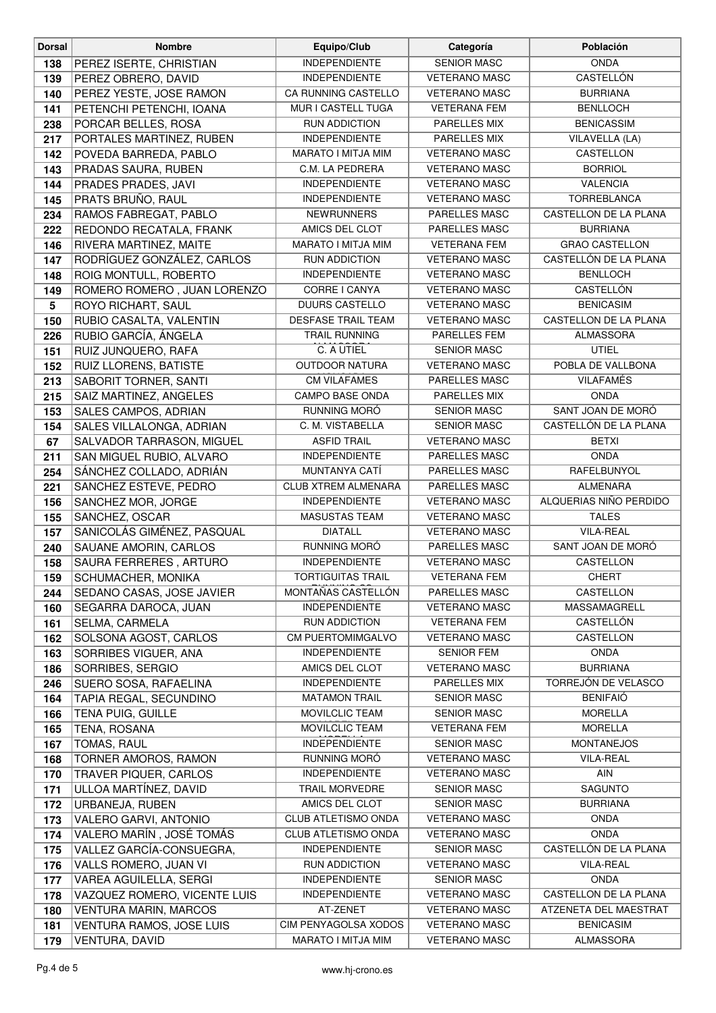| <b>Dorsal</b>   | <b>Nombre</b>                                      | Equipo/Club                                   | Categoría                                | Población                              |
|-----------------|----------------------------------------------------|-----------------------------------------------|------------------------------------------|----------------------------------------|
| 138             | PEREZ ISERTE, CHRISTIAN                            | <b>INDEPENDIENTE</b>                          | <b>SENIOR MASC</b>                       | <b>ONDA</b>                            |
| 139             | PEREZ OBRERO, DAVID                                | <b>INDEPENDIENTE</b>                          | <b>VETERANO MASC</b>                     | <b>CASTELLÓN</b>                       |
| 140             | PEREZ YESTE, JOSE RAMON                            | CA RUNNING CASTELLO                           | <b>VETERANO MASC</b>                     | <b>BURRIANA</b>                        |
| 141             | PETENCHI PETENCHI, IOANA                           | MUR I CASTELL TUGA                            | <b>VETERANA FEM</b>                      | <b>BENLLOCH</b>                        |
| 238             | PORCAR BELLES, ROSA                                | <b>RUN ADDICTION</b>                          | PARELLES MIX                             | <b>BENICASSIM</b>                      |
| 217             | PORTALES MARTINEZ, RUBEN                           | <b>INDEPENDIENTE</b>                          | PARELLES MIX                             | VILAVELLA (LA)                         |
| 142             | POVEDA BARREDA, PABLO                              | MARATO I MITJA MIM                            | <b>VETERANO MASC</b>                     | CASTELLON                              |
| 143             | PRADAS SAURA, RUBEN                                | C.M. LA PEDRERA                               | <b>VETERANO MASC</b>                     | <b>BORRIOL</b>                         |
| 144             | PRADES PRADES, JAVI                                | <b>INDEPENDIENTE</b>                          | <b>VETERANO MASC</b>                     | <b>VALENCIA</b>                        |
| 145             | PRATS BRUÑO, RAUL                                  | <b>INDEPENDIENTE</b>                          | <b>VETERANO MASC</b>                     | <b>TORREBLANCA</b>                     |
| 234             | RAMOS FABREGAT, PABLO                              | <b>NEWRUNNERS</b>                             | PARELLES MASC                            | CASTELLON DE LA PLANA                  |
| 222             | REDONDO RECATALA, FRANK                            | AMICS DEL CLOT                                | PARELLES MASC                            | <b>BURRIANA</b>                        |
| 146             | RIVERA MARTINEZ, MAITE                             | MARATO I MITJA MIM                            | <b>VETERANA FEM</b>                      | <b>GRAO CASTELLON</b>                  |
| 147             | RODRÍGUEZ GONZÁLEZ, CARLOS                         | RUN ADDICTION                                 | <b>VETERANO MASC</b>                     | CASTELLÓN DE LA PLANA                  |
| 148             | ROIG MONTULL, ROBERTO                              | <b>INDEPENDIENTE</b>                          | <b>VETERANO MASC</b>                     | <b>BENLLOCH</b>                        |
| 149             | ROMERO ROMERO, JUAN LORENZO                        | CORRE I CANYA                                 | <b>VETERANO MASC</b>                     | CASTELLÓN                              |
| $5\phantom{.0}$ | ROYO RICHART, SAUL                                 | <b>DUURS CASTELLO</b>                         | <b>VETERANO MASC</b>                     | <b>BENICASIM</b>                       |
| 150             | RUBIO CASALTA, VALENTIN                            | <b>DESFASE TRAIL TEAM</b>                     | <b>VETERANO MASC</b>                     | CASTELLON DE LA PLANA                  |
| 226             | RUBIO GARCÍA, ÁNGELA                               | <b>TRAIL RUNNING</b>                          | PARELLES FEM                             | <b>ALMASSORA</b>                       |
| 151             | RUIZ JUNQUERO, RAFA                                | C. A UTIEL                                    | <b>SENIOR MASC</b>                       | <b>UTIEL</b>                           |
| 152             | RUIZ LLORENS, BATISTE                              | <b>OUTDOOR NATURA</b>                         | <b>VETERANO MASC</b>                     | POBLA DE VALLBONA                      |
| 213             | <b>SABORIT TORNER, SANTI</b>                       | <b>CM VILAFAMES</b>                           | PARELLES MASC                            | <b>VILAFAMÉS</b>                       |
| 215             | SAIZ MARTINEZ, ANGELES                             | <b>CAMPO BASE ONDA</b>                        | PARELLES MIX                             | <b>ONDA</b>                            |
| 153             | SALES CAMPOS, ADRIAN                               | RUNNING MORÓ                                  | <b>SENIOR MASC</b>                       | SANT JOAN DE MORÓ                      |
| 154             | SALES VILLALONGA, ADRIAN                           | C. M. VISTABELLA                              | <b>SENIOR MASC</b>                       | CASTELLÓN DE LA PLANA                  |
| 67              | SALVADOR TARRASON, MIGUEL                          | <b>ASFID TRAIL</b>                            | <b>VETERANO MASC</b>                     | <b>BETXI</b>                           |
| 211             | SAN MIGUEL RUBIO, ALVARO                           | INDEPENDIENTE                                 | PARELLES MASC                            | <b>ONDA</b>                            |
| 254             | SÁNCHEZ COLLADO, ADRIÁN                            | MUNTANYA CATÍ                                 | PARELLES MASC                            | RAFELBUNYOL                            |
| 221             | SANCHEZ ESTEVE, PEDRO                              | <b>CLUB XTREM ALMENARA</b>                    | PARELLES MASC                            | <b>ALMENARA</b>                        |
| 156             | SANCHEZ MOR, JORGE                                 | <b>INDEPENDIENTE</b>                          | <b>VETERANO MASC</b>                     | ALQUERIAS NIÑO PERDIDO                 |
| 155             | SANCHEZ, OSCAR                                     | <b>MASUSTAS TEAM</b>                          | <b>VETERANO MASC</b>                     | <b>TALES</b>                           |
| 157             | SANICOLÁS GIMÉNEZ, PASQUAL                         | <b>DIATALL</b>                                | <b>VETERANO MASC</b>                     | <b>VILA-REAL</b>                       |
| 240             | SAUANE AMORIN, CARLOS                              | RUNNING MORÓ                                  | PARELLES MASC                            | SANT JOAN DE MORÓ                      |
| 158             | SAURA FERRERES, ARTURO                             | <b>INDEPENDIENTE</b>                          | <b>VETERANO MASC</b>                     | CASTELLON                              |
| 159             | SCHUMACHER, MONIKA                                 | <b>TORTIGUITAS TRAIL</b>                      | <b>VETERANA FEM</b>                      | <b>CHERT</b>                           |
| 244             | SEDANO CASAS, JOSE JAVIER                          | MONTAÑAS CASTELLÓN                            | PARELLES MASC                            | CASTELLON                              |
| 160             | SEGARRA DAROCA, JUAN                               | <b>INDEPENDIENTE</b>                          | <b>VETERANO MASC</b>                     | MASSAMAGRELL                           |
| 161             | SELMA, CARMELA                                     | <b>RUN ADDICTION</b>                          | <b>VETERANA FEM</b>                      | CASTELLÓN                              |
| 162             | SOLSONA AGOST, CARLOS                              | <b>CM PUERTOMIMGALVO</b>                      | <b>VETERANO MASC</b>                     | CASTELLON                              |
| 163             | SORRIBES VIGUER, ANA                               | <b>INDEPENDIENTE</b>                          | <b>SENIOR FEM</b>                        | <b>ONDA</b>                            |
| 186             | SORRIBES, SERGIO                                   | AMICS DEL CLOT                                | <b>VETERANO MASC</b>                     | <b>BURRIANA</b>                        |
| 246             | SUERO SOSA, RAFAELINA                              | <b>INDEPENDIENTE</b>                          | PARELLES MIX                             | TORREJÓN DE VELASCO<br><b>BENIFAIÓ</b> |
| 164             | TAPIA REGAL, SECUNDINO<br><b>TENA PUIG, GUILLE</b> | <b>MATAMON TRAIL</b><br><b>MOVILCLIC TEAM</b> | <b>SENIOR MASC</b><br><b>SENIOR MASC</b> | <b>MORELLA</b>                         |
| 166             |                                                    | MOVILCLIC TEAM                                | <b>VETERANA FEM</b>                      | <b>MORELLA</b>                         |
| 165             | TENA, ROSANA<br>TOMAS, RAUL                        | <b>INDEPENDIENTE</b>                          | <b>SENIOR MASC</b>                       | <b>MONTANEJOS</b>                      |
| 167<br>168      | TORNER AMOROS, RAMON                               | RUNNING MORÓ                                  | <b>VETERANO MASC</b>                     | <b>VILA-REAL</b>                       |
| 170             | TRAVER PIQUER, CARLOS                              | <b>INDEPENDIENTE</b>                          | <b>VETERANO MASC</b>                     | AIN                                    |
| 171             | ULLOA MARTÍNEZ, DAVID                              | <b>TRAIL MORVEDRE</b>                         | <b>SENIOR MASC</b>                       | SAGUNTO                                |
| 172             | URBANEJA, RUBEN                                    | AMICS DEL CLOT                                | <b>SENIOR MASC</b>                       | <b>BURRIANA</b>                        |
| 173             | VALERO GARVI, ANTONIO                              | <b>CLUB ATLETISMO ONDA</b>                    | <b>VETERANO MASC</b>                     | <b>ONDA</b>                            |
| 174             | VALERO MARÍN, JOSÉ TOMÁS                           | CLUB ATLETISMO ONDA                           | <b>VETERANO MASC</b>                     | <b>ONDA</b>                            |
| 175             | VALLEZ GARCÍA-CONSUEGRA,                           | <b>INDEPENDIENTE</b>                          | <b>SENIOR MASC</b>                       | CASTELLÓN DE LA PLANA                  |
| 176             | VALLS ROMERO, JUAN VI                              | RUN ADDICTION                                 | <b>VETERANO MASC</b>                     | <b>VILA-REAL</b>                       |
| 177             | VAREA AGUILELLA, SERGI                             | <b>INDEPENDIENTE</b>                          | <b>SENIOR MASC</b>                       | <b>ONDA</b>                            |
| 178             | VAZQUEZ ROMERO, VICENTE LUIS                       | <b>INDEPENDIENTE</b>                          | <b>VETERANO MASC</b>                     | CASTELLON DE LA PLANA                  |
| 180             | <b>VENTURA MARIN, MARCOS</b>                       | AT-ZENET                                      | <b>VETERANO MASC</b>                     | ATZENETA DEL MAESTRAT                  |
| 181             | VENTURA RAMOS, JOSE LUIS                           | CIM PENYAGOLSA XODOS                          | <b>VETERANO MASC</b>                     | <b>BENICASIM</b>                       |
| 179             | VENTURA, DAVID                                     | MARATO I MITJA MIM                            | <b>VETERANO MASC</b>                     | ALMASSORA                              |